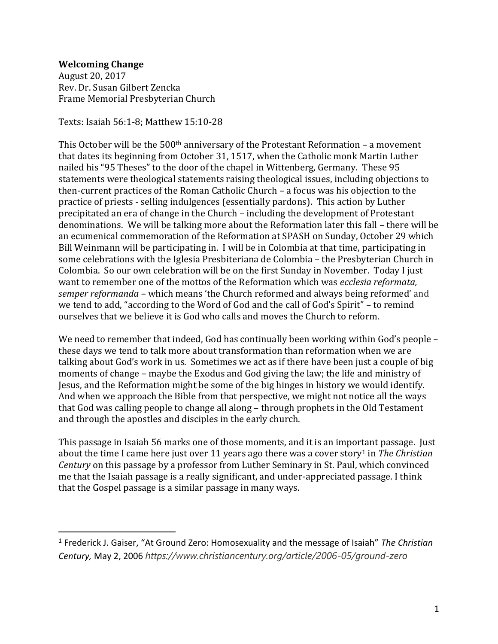## **Welcoming Change**

 $\overline{a}$ 

August 20, 2017 Rev. Dr. Susan Gilbert Zencka Frame Memorial Presbyterian Church

Texts: Isaiah 56:1-8; Matthew 15:10-28

This October will be the  $500<sup>th</sup>$  anniversary of the Protestant Reformation – a movement that dates its beginning from October 31, 1517, when the Catholic monk Martin Luther nailed his "95 Theses" to the door of the chapel in Wittenberg, Germany. These 95 statements were theological statements raising theological issues, including objections to then-current practices of the Roman Catholic Church – a focus was his objection to the practice of priests - selling indulgences (essentially pardons). This action by Luther precipitated an era of change in the Church – including the development of Protestant denominations. We will be talking more about the Reformation later this fall – there will be an ecumenical commemoration of the Reformation at SPASH on Sunday, October 29 which Bill Weinmann will be participating in. I will be in Colombia at that time, participating in some celebrations with the Iglesia Presbiteriana de Colombia – the Presbyterian Church in Colombia. So our own celebration will be on the first Sunday in November. Today I just want to remember one of the mottos of the Reformation which was *ecclesia reformata, semper reformanda –* which means 'the Church reformed and always being reformed' and we tend to add, "according to the Word of God and the call of God's Spirit" – to remind ourselves that we believe it is God who calls and moves the Church to reform.

We need to remember that indeed, God has continually been working within God's people – these days we tend to talk more about transformation than reformation when we are talking about God's work in us. Sometimes we act as if there have been just a couple of big moments of change – maybe the Exodus and God giving the law; the life and ministry of Jesus, and the Reformation might be some of the big hinges in history we would identify. And when we approach the Bible from that perspective, we might not notice all the ways that God was calling people to change all along – through prophets in the Old Testament and through the apostles and disciples in the early church.

This passage in Isaiah 56 marks one of those moments, and it is an important passage. Just about the time I came here just over 11 years ago there was a cover story<sup>1</sup> in *The Christian Century* on this passage by a professor from Luther Seminary in St. Paul, which convinced me that the Isaiah passage is a really significant, and under-appreciated passage. I think that the Gospel passage is a similar passage in many ways.

<sup>1</sup> Frederick J. Gaiser, "At Ground Zero: Homosexuality and the message of Isaiah" *The Christian Century,* May 2, 2006 *https://www.christiancentury.org/article/2006-05/ground-zero*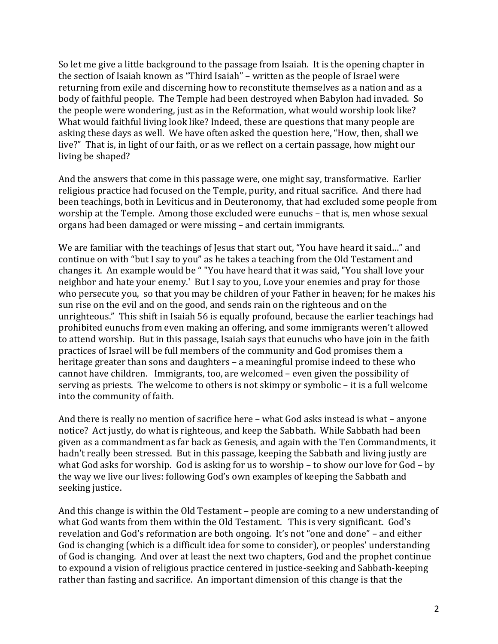So let me give a little background to the passage from Isaiah. It is the opening chapter in the section of Isaiah known as "Third Isaiah" – written as the people of Israel were returning from exile and discerning how to reconstitute themselves as a nation and as a body of faithful people. The Temple had been destroyed when Babylon had invaded. So the people were wondering, just as in the Reformation, what would worship look like? What would faithful living look like? Indeed, these are questions that many people are asking these days as well. We have often asked the question here, "How, then, shall we live?" That is, in light of our faith, or as we reflect on a certain passage, how might our living be shaped?

And the answers that come in this passage were, one might say, transformative. Earlier religious practice had focused on the Temple, purity, and ritual sacrifice. And there had been teachings, both in Leviticus and in Deuteronomy, that had excluded some people from worship at the Temple. Among those excluded were eunuchs – that is, men whose sexual organs had been damaged or were missing – and certain immigrants.

We are familiar with the teachings of Jesus that start out, "You have heard it said..." and continue on with "but I say to you" as he takes a teaching from the Old Testament and changes it. An example would be " "You have heard that it was said, "You shall love your neighbor and hate your enemy.' But I say to you, Love your enemies and pray for those who persecute you, so that you may be children of your Father in heaven; for he makes his sun rise on the evil and on the good, and sends rain on the righteous and on the unrighteous." This shift in Isaiah 56 is equally profound, because the earlier teachings had prohibited eunuchs from even making an offering, and some immigrants weren't allowed to attend worship. But in this passage, Isaiah says that eunuchs who have join in the faith practices of Israel will be full members of the community and God promises them a heritage greater than sons and daughters – a meaningful promise indeed to these who cannot have children. Immigrants, too, are welcomed – even given the possibility of serving as priests. The welcome to others is not skimpy or symbolic – it is a full welcome into the community of faith.

And there is really no mention of sacrifice here – what God asks instead is what – anyone notice? Act justly, do what is righteous, and keep the Sabbath. While Sabbath had been given as a commandment as far back as Genesis, and again with the Ten Commandments, it hadn't really been stressed. But in this passage, keeping the Sabbath and living justly are what God asks for worship. God is asking for us to worship – to show our love for God – by the way we live our lives: following God's own examples of keeping the Sabbath and seeking justice.

And this change is within the Old Testament – people are coming to a new understanding of what God wants from them within the Old Testament. This is very significant. God's revelation and God's reformation are both ongoing. It's not "one and done" – and either God is changing (which is a difficult idea for some to consider), or peoples' understanding of God is changing. And over at least the next two chapters, God and the prophet continue to expound a vision of religious practice centered in justice-seeking and Sabbath-keeping rather than fasting and sacrifice. An important dimension of this change is that the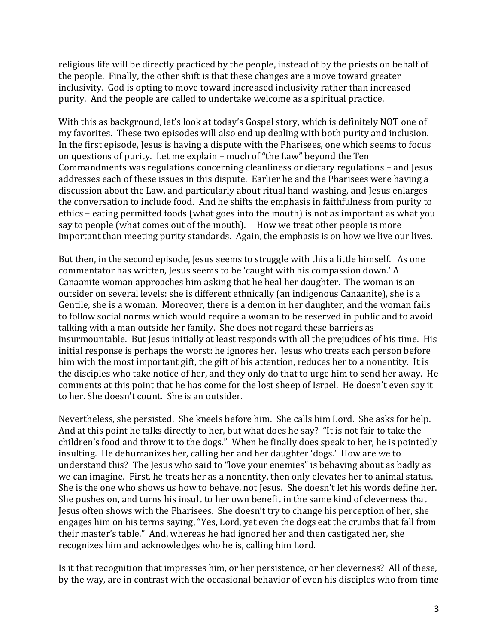religious life will be directly practiced by the people, instead of by the priests on behalf of the people. Finally, the other shift is that these changes are a move toward greater inclusivity. God is opting to move toward increased inclusivity rather than increased purity. And the people are called to undertake welcome as a spiritual practice.

With this as background, let's look at today's Gospel story, which is definitely NOT one of my favorites. These two episodes will also end up dealing with both purity and inclusion. In the first episode, Jesus is having a dispute with the Pharisees, one which seems to focus on questions of purity. Let me explain – much of "the Law" beyond the Ten Commandments was regulations concerning cleanliness or dietary regulations – and Jesus addresses each of these issues in this dispute. Earlier he and the Pharisees were having a discussion about the Law, and particularly about ritual hand-washing, and Jesus enlarges the conversation to include food. And he shifts the emphasis in faithfulness from purity to ethics – eating permitted foods (what goes into the mouth) is not as important as what you say to people (what comes out of the mouth). How we treat other people is more important than meeting purity standards. Again, the emphasis is on how we live our lives.

But then, in the second episode, Jesus seems to struggle with this a little himself. As one commentator has written, Jesus seems to be 'caught with his compassion down.' A Canaanite woman approaches him asking that he heal her daughter. The woman is an outsider on several levels: she is different ethnically (an indigenous Canaanite), she is a Gentile, she is a woman. Moreover, there is a demon in her daughter, and the woman fails to follow social norms which would require a woman to be reserved in public and to avoid talking with a man outside her family. She does not regard these barriers as insurmountable. But Jesus initially at least responds with all the prejudices of his time. His initial response is perhaps the worst: he ignores her. Jesus who treats each person before him with the most important gift, the gift of his attention, reduces her to a nonentity. It is the disciples who take notice of her, and they only do that to urge him to send her away. He comments at this point that he has come for the lost sheep of Israel. He doesn't even say it to her. She doesn't count. She is an outsider.

Nevertheless, she persisted. She kneels before him. She calls him Lord. She asks for help. And at this point he talks directly to her, but what does he say? "It is not fair to take the children's food and throw it to the dogs." When he finally does speak to her, he is pointedly insulting. He dehumanizes her, calling her and her daughter 'dogs.' How are we to understand this? The Jesus who said to "love your enemies" is behaving about as badly as we can imagine. First, he treats her as a nonentity, then only elevates her to animal status. She is the one who shows us how to behave, not Jesus. She doesn't let his words define her. She pushes on, and turns his insult to her own benefit in the same kind of cleverness that Jesus often shows with the Pharisees. She doesn't try to change his perception of her, she engages him on his terms saying, "Yes, Lord, yet even the dogs eat the crumbs that fall from their master's table." And, whereas he had ignored her and then castigated her, she recognizes him and acknowledges who he is, calling him Lord.

Is it that recognition that impresses him, or her persistence, or her cleverness? All of these, by the way, are in contrast with the occasional behavior of even his disciples who from time